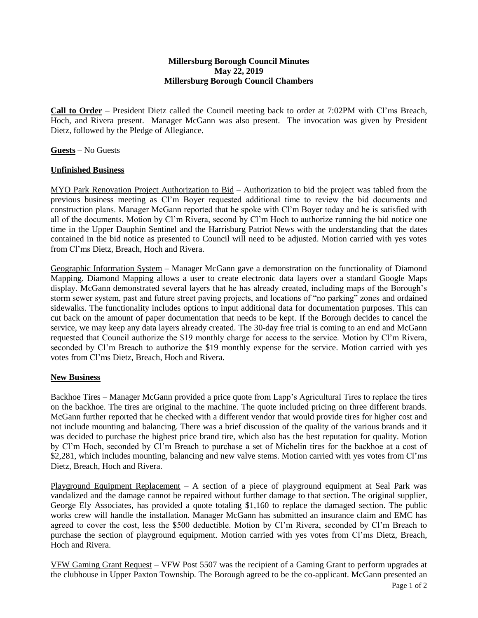## **Millersburg Borough Council Minutes May 22, 2019 Millersburg Borough Council Chambers**

**Call to Order** – President Dietz called the Council meeting back to order at 7:02PM with Cl'ms Breach, Hoch, and Rivera present. Manager McGann was also present. The invocation was given by President Dietz, followed by the Pledge of Allegiance.

**Guests** – No Guests

## **Unfinished Business**

MYO Park Renovation Project Authorization to Bid – Authorization to bid the project was tabled from the previous business meeting as Cl'm Boyer requested additional time to review the bid documents and construction plans. Manager McGann reported that he spoke with Cl'm Boyer today and he is satisfied with all of the documents. Motion by Cl'm Rivera, second by Cl'm Hoch to authorize running the bid notice one time in the Upper Dauphin Sentinel and the Harrisburg Patriot News with the understanding that the dates contained in the bid notice as presented to Council will need to be adjusted. Motion carried with yes votes from Cl'ms Dietz, Breach, Hoch and Rivera.

Geographic Information System – Manager McGann gave a demonstration on the functionality of Diamond Mapping. Diamond Mapping allows a user to create electronic data layers over a standard Google Maps display. McGann demonstrated several layers that he has already created, including maps of the Borough's storm sewer system, past and future street paving projects, and locations of "no parking" zones and ordained sidewalks. The functionality includes options to input additional data for documentation purposes. This can cut back on the amount of paper documentation that needs to be kept. If the Borough decides to cancel the service, we may keep any data layers already created. The 30-day free trial is coming to an end and McGann requested that Council authorize the \$19 monthly charge for access to the service. Motion by Cl'm Rivera, seconded by Cl'm Breach to authorize the \$19 monthly expense for the service. Motion carried with yes votes from Cl'ms Dietz, Breach, Hoch and Rivera.

## **New Business**

Backhoe Tires – Manager McGann provided a price quote from Lapp's Agricultural Tires to replace the tires on the backhoe. The tires are original to the machine. The quote included pricing on three different brands. McGann further reported that he checked with a different vendor that would provide tires for higher cost and not include mounting and balancing. There was a brief discussion of the quality of the various brands and it was decided to purchase the highest price brand tire, which also has the best reputation for quality. Motion by Cl'm Hoch, seconded by Cl'm Breach to purchase a set of Michelin tires for the backhoe at a cost of \$2,281, which includes mounting, balancing and new valve stems. Motion carried with yes votes from Cl'ms Dietz, Breach, Hoch and Rivera.

Playground Equipment Replacement – A section of a piece of playground equipment at Seal Park was vandalized and the damage cannot be repaired without further damage to that section. The original supplier, George Ely Associates, has provided a quote totaling \$1,160 to replace the damaged section. The public works crew will handle the installation. Manager McGann has submitted an insurance claim and EMC has agreed to cover the cost, less the \$500 deductible. Motion by Cl'm Rivera, seconded by Cl'm Breach to purchase the section of playground equipment. Motion carried with yes votes from Cl'ms Dietz, Breach, Hoch and Rivera.

VFW Gaming Grant Request – VFW Post 5507 was the recipient of a Gaming Grant to perform upgrades at the clubhouse in Upper Paxton Township. The Borough agreed to be the co-applicant. McGann presented an